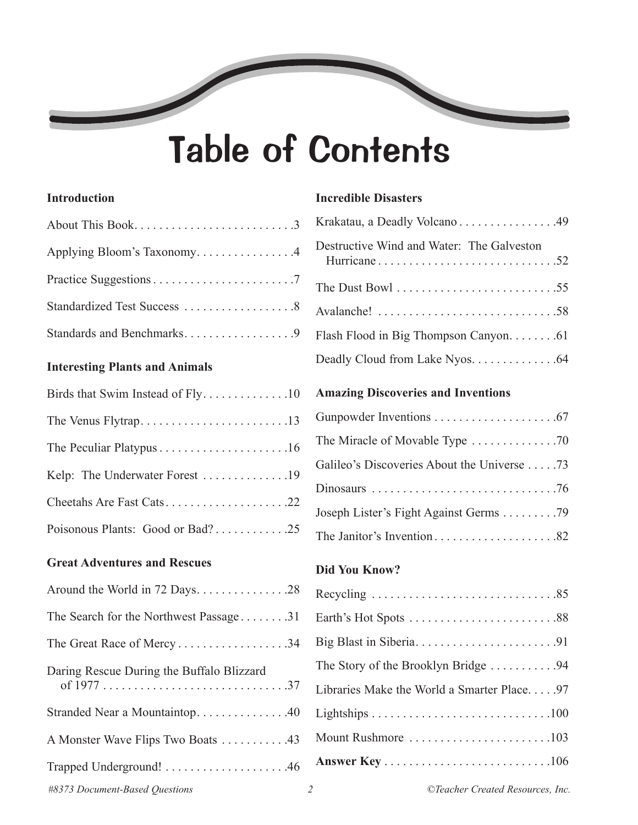# $\overline{\phantom{a}}$ Table of Contents

#### **Introduction**

| Applying Bloom's Taxonomy4 |  |
|----------------------------|--|
|                            |  |
|                            |  |
|                            |  |

### **Interesting Plants and Animals**

| Birds that Swim Instead of Fly10 |
|----------------------------------|
|                                  |
|                                  |
| Kelp: The Underwater Forest 19   |
| Cheetahs Are Fast Cats22         |
| Poisonous Plants: Good or Bad?25 |

### **Great Adventures and Rescues**

| Around the World in 72 Days28             |
|-------------------------------------------|
| The Search for the Northwest Passage31    |
| The Great Race of Mercy34                 |
| Daring Rescue During the Buffalo Blizzard |
| Stranded Near a Mountaintop40             |
| A Monster Wave Flips Two Boats 43         |
|                                           |
| #8373 Document-Based Questions            |

### **Incredible Disasters**

| Krakatau, a Deadly Volcano 49                                                  |
|--------------------------------------------------------------------------------|
| Destructive Wind and Water: The Galveston                                      |
| The Dust Bowl $\dots \dots \dots \dots \dots \dots \dots \dots \dots 55$       |
| Avalanche! $\ldots \ldots \ldots \ldots \ldots \ldots \ldots \ldots \ldots 58$ |
|                                                                                |
|                                                                                |

### **Amazing Discoveries and Inventions**

| Galileo's Discoveries About the Universe 73 |
|---------------------------------------------|
|                                             |
| Joseph Lister's Fight Against Germs 79      |
|                                             |

### **Did You Know?**

| The Story of the Brooklyn Bridge 94        |
|--------------------------------------------|
| Libraries Make the World a Smarter Place97 |
|                                            |
| Mount Rushmore 103                         |
|                                            |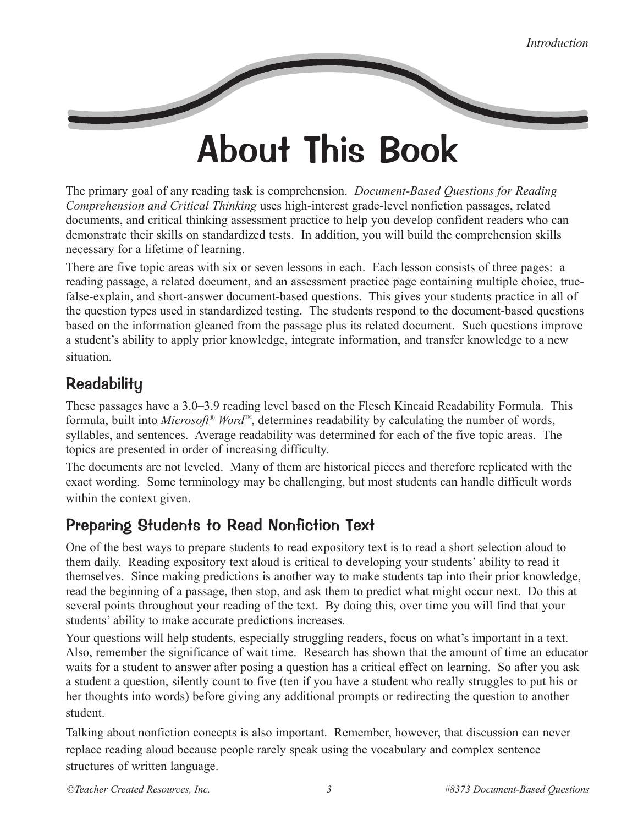## About This Book

The primary goal of any reading task is comprehension. *Document-Based Questions for Reading Comprehension and Critical Thinking* uses high-interest grade-level nonfiction passages, related documents, and critical thinking assessment practice to help you develop confident readers who can demonstrate their skills on standardized tests. In addition, you will build the comprehension skills necessary for a lifetime of learning.

There are five topic areas with six or seven lessons in each. Each lesson consists of three pages: a reading passage, a related document, and an assessment practice page containing multiple choice, truefalse-explain, and short-answer document-based questions. This gives your students practice in all of the question types used in standardized testing. The students respond to the document-based questions based on the information gleaned from the passage plus its related document. Such questions improve a student's ability to apply prior knowledge, integrate information, and transfer knowledge to a new situation.

## **Readability**

These passages have a 3.0–3.9 reading level based on the Flesch Kincaid Readability Formula. This formula, built into *Microsoft® Word™*, determines readability by calculating the number of words, syllables, and sentences. Average readability was determined for each of the five topic areas. The topics are presented in order of increasing difficulty.

The documents are not leveled. Many of them are historical pieces and therefore replicated with the exact wording. Some terminology may be challenging, but most students can handle difficult words within the context given.

### Preparing Students to Read Nonfiction Text

One of the best ways to prepare students to read expository text is to read a short selection aloud to them daily. Reading expository text aloud is critical to developing your students' ability to read it themselves. Since making predictions is another way to make students tap into their prior knowledge, read the beginning of a passage, then stop, and ask them to predict what might occur next. Do this at several points throughout your reading of the text. By doing this, over time you will find that your students' ability to make accurate predictions increases.

Your questions will help students, especially struggling readers, focus on what's important in a text. Also, remember the significance of wait time. Research has shown that the amount of time an educator waits for a student to answer after posing a question has a critical effect on learning. So after you ask a student a question, silently count to five (ten if you have a student who really struggles to put his or her thoughts into words) before giving any additional prompts or redirecting the question to another student.

Talking about nonfiction concepts is also important. Remember, however, that discussion can never replace reading aloud because people rarely speak using the vocabulary and complex sentence structures of written language.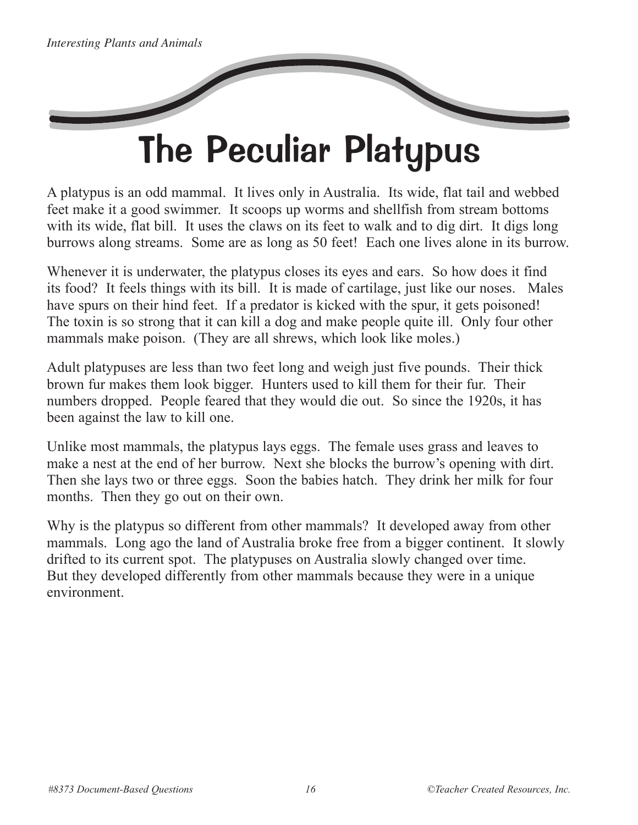# The Peculiar Platypus

A platypus is an odd mammal. It lives only in Australia. Its wide, flat tail and webbed feet make it a good swimmer. It scoops up worms and shellfish from stream bottoms with its wide, flat bill. It uses the claws on its feet to walk and to dig dirt. It digs long burrows along streams. Some are as long as 50 feet! Each one lives alone in its burrow.

Whenever it is underwater, the platypus closes its eyes and ears. So how does it find its food? It feels things with its bill. It is made of cartilage, just like our noses. Males have spurs on their hind feet. If a predator is kicked with the spur, it gets poisoned! The toxin is so strong that it can kill a dog and make people quite ill. Only four other mammals make poison. (They are all shrews, which look like moles.)

Adult platypuses are less than two feet long and weigh just five pounds. Their thick brown fur makes them look bigger. Hunters used to kill them for their fur. Their numbers dropped. People feared that they would die out. So since the 1920s, it has been against the law to kill one.

Unlike most mammals, the platypus lays eggs. The female uses grass and leaves to make a nest at the end of her burrow. Next she blocks the burrow's opening with dirt. Then she lays two or three eggs. Soon the babies hatch. They drink her milk for four months. Then they go out on their own.

Why is the platypus so different from other mammals? It developed away from other mammals. Long ago the land of Australia broke free from a bigger continent. It slowly drifted to its current spot. The platypuses on Australia slowly changed over time. But they developed differently from other mammals because they were in a unique environment.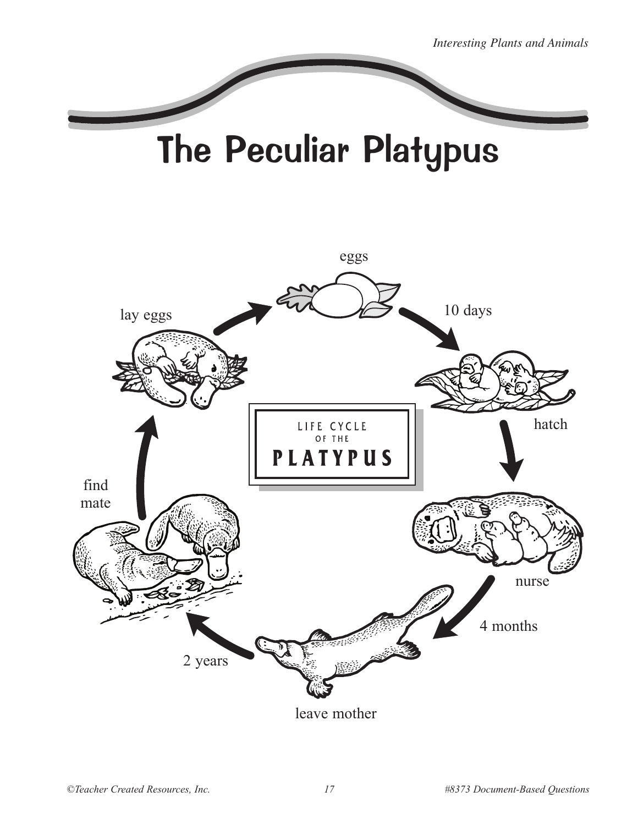# The Peculiar Platypus